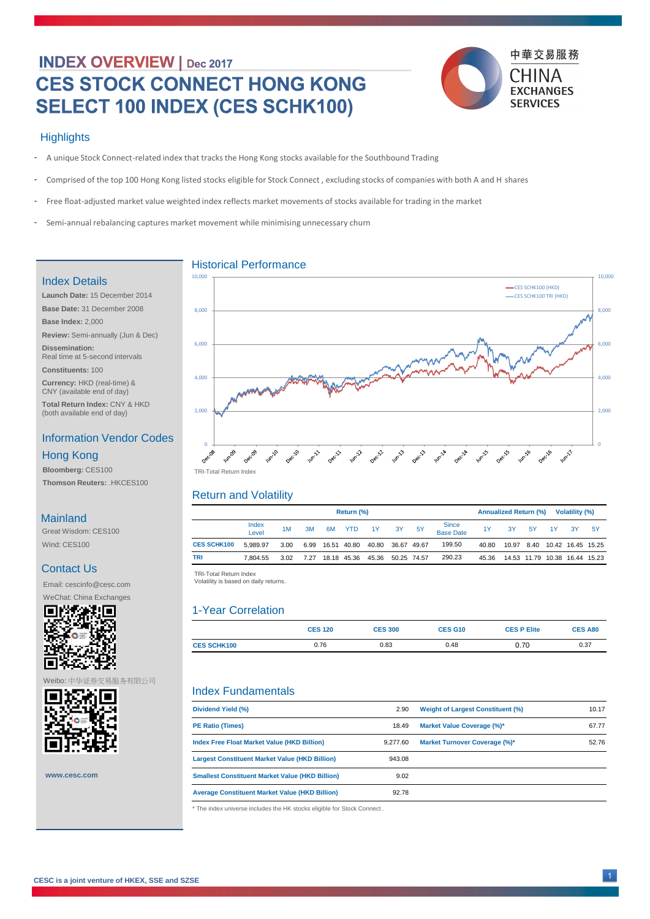# **INDEX OVERVIEW | Dec 2017 CES STOCK CONNECT HONG KONG** SELECT 100 INDEX (CES SCHK100)



#### **Highlights**

| Return (%)         |                |      |      |    |             |       | <b>Annualized Return (%)</b><br><b>Volatility (%)</b> |    |                                  |           |       |      |           |     |                               |
|--------------------|----------------|------|------|----|-------------|-------|-------------------------------------------------------|----|----------------------------------|-----------|-------|------|-----------|-----|-------------------------------|
|                    | Index<br>Level | 1M   | 3M   | 6M | <b>YTD</b>  | 1Y    | 3Y                                                    | 5Y | <b>Since</b><br><b>Base Date</b> | <b>1Y</b> | 3Y    | 5Y   | <u>1Y</u> | -3Y | <b>5Y</b>                     |
| <b>CES SCHK100</b> | 5,989.97       | 3.00 | 6.99 |    | 16.51 40.80 | 40.80 | 36.67 49.67                                           |    | 199.50                           | 40.80     | 10.97 | 8.40 |           |     |                               |
| <b>TRI</b>         | 7.804.55       | 3.02 | 7.27 |    | 18.18 45.36 | 45.36 | 50.25 74.57                                           |    | 290.23                           | 45.36     |       |      |           |     | 14.53 11.79 10.38 16.44 15.23 |

|                    | <b>CES 120</b> | <b>CES 300</b> | <b>CES G10</b> | <b>CES P Elite</b> | <b>CES A80</b> |
|--------------------|----------------|----------------|----------------|--------------------|----------------|
| <b>CES SCHK100</b> | 0.76           | 0.83           | 0.48           | 0.70               | 0.37           |

- A unique Stock Connect-related index that tracks the Hong Kong stocks available for the Southbound Trading -
- Comprised of the top 100 Hong Kong listed stocks eligible for Stock Connect , excluding stocks of companies with both A and H shares -
- Free float-adjusted market value weighted index reflects market movements of stocks available for trading in the market  $\overline{\phantom{a}}$
- Semi-annual rebalancing captures market movement while minimising unnecessary churn -

 TRI -Total Return Index TRI-Total Return Index Volatility is based on daily returns. Volatility is based on daily returns.

#### Historical Performance

## Return and Volatility

|              | <b>Dividend Yield (%)</b>                                               | 2.90     | <b>Weight of Largest Constituent (%)</b> | 10.17 |  |  |  |  |
|--------------|-------------------------------------------------------------------------|----------|------------------------------------------|-------|--|--|--|--|
|              | <b>PE Ratio (Times)</b>                                                 | 18.49    | <b>Market Value Coverage (%)*</b>        | 67.77 |  |  |  |  |
|              | <b>Index Free Float Market Value (HKD Billion)</b>                      | 9,277.60 | <b>Market Turnover Coverage (%)*</b>     | 52.76 |  |  |  |  |
|              | <b>Largest Constituent Market Value (HKD Billion)</b>                   | 943.08   |                                          |       |  |  |  |  |
| www.cesc.com | <b>Smallest Constituent Market Value (HKD Billion)</b>                  | 9.02     |                                          |       |  |  |  |  |
|              | <b>Average Constituent Market Value (HKD Billion)</b>                   | 92.78    |                                          |       |  |  |  |  |
|              | * The index universe includes the HK stocks eligible for Stock Connect. |          |                                          |       |  |  |  |  |
|              |                                                                         |          |                                          |       |  |  |  |  |

#### **Mainland**

## 1-Year Correlation

#### Index Fundamentals

**CESC is a joint venture of HKEX, SSE and SZSE**

## Index Details

**Launch Date:** 15 December 2014 **Base Date:** 31 December 2008 **Base Index:** 2,000 **Review:** Semi-annually (Jun & Dec) **Dissemination:** 

**Constituents:** 100

**Currency:** HKD (real-time) & CNY (available end of day)

**Total Return Index:** CNY & HKD (both available end of day)

### Information Vendor Codes

**Bloomberg:** CES100 **Thomson Reuters:** .HKCES100

#### Hong Kong

Great Wisdom: CES100 Wind: CES100

### Contact Us

Email: cescinfo@cesc.com

WeChat: China Exchanges





1

Weibo: 中华证券交易服务有限公司